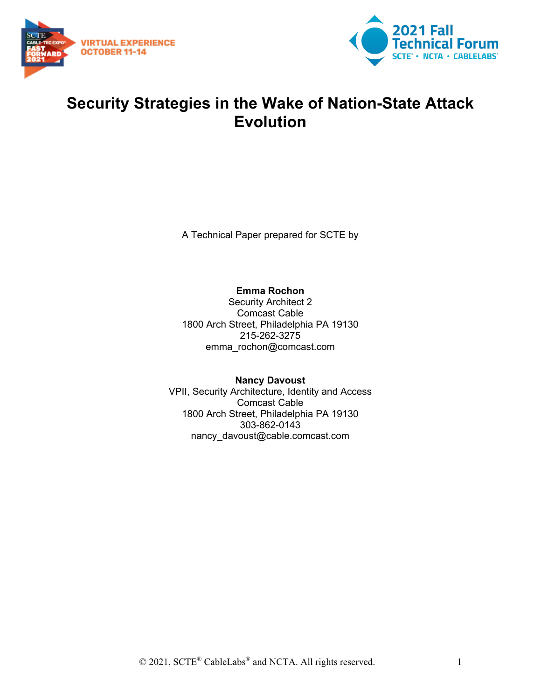



### **Security Strategies in the Wake of Nation-State Attack Evolution**

A Technical Paper prepared for SCTE by

**Emma Rochon**

Security Architect 2 Comcast Cable 1800 Arch Street, Philadelphia PA 19130 215-262-3275 emma\_rochon@comcast.com

**Nancy Davoust** VPII, Security Architecture, Identity and Access Comcast Cable 1800 Arch Street, Philadelphia PA 19130 303-862-0143 nancy\_davoust@cable.comcast.com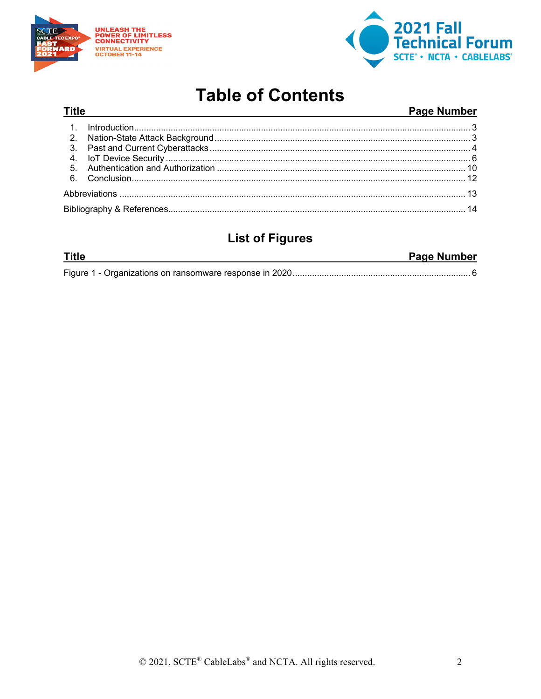

**Title** 



## **Table of Contents**

#### Page Number

### **List of Figures**

| <b>Title</b> | <b>Page Number</b> |
|--------------|--------------------|
|              |                    |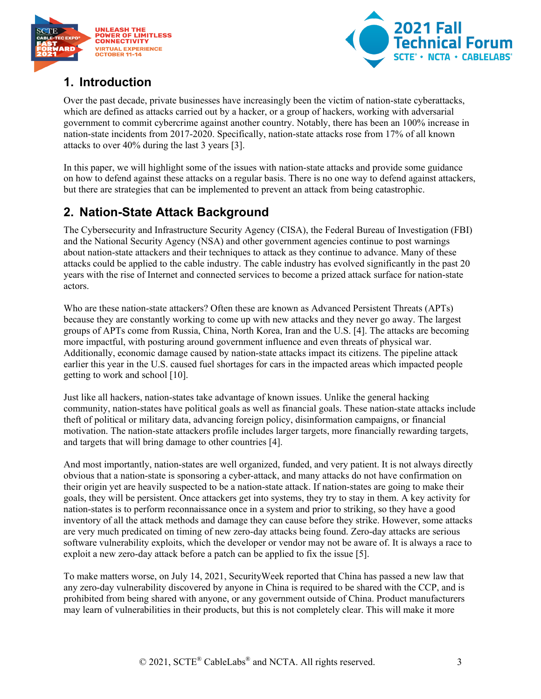



#### <span id="page-2-0"></span>**1. Introduction**

Over the past decade, private businesses have increasingly been the victim of nation-state cyberattacks, which are defined as attacks carried out by a hacker, or a group of hackers, working with adversarial government to commit cybercrime against another country. Notably, there has been an 100% increase in nation-state incidents from 2017-2020. Specifically, nation-state attacks rose from 17% of all known attacks to over 40% during the last 3 years [3].

In this paper, we will highlight some of the issues with nation-state attacks and provide some guidance on how to defend against these attacks on a regular basis. There is no one way to defend against attackers, but there are strategies that can be implemented to prevent an attack from being catastrophic.

#### <span id="page-2-1"></span>**2. Nation-State Attack Background**

The Cybersecurity and Infrastructure Security Agency (CISA), the Federal Bureau of Investigation (FBI) and the National Security Agency (NSA) and other government agencies continue to post warnings about nation-state attackers and their techniques to attack as they continue to advance. Many of these attacks could be applied to the cable industry. The cable industry has evolved significantly in the past 20 years with the rise of Internet and connected services to become a prized attack surface for nation-state actors.

Who are these nation-state attackers? Often these are known as Advanced Persistent Threats (APTs) because they are constantly working to come up with new attacks and they never go away. The largest groups of APTs come from Russia, China, North Korea, Iran and the U.S. [4]. The attacks are becoming more impactful, with posturing around government influence and even threats of physical war. Additionally, economic damage caused by nation-state attacks impact its citizens. The pipeline attack earlier this year in the U.S. caused fuel shortages for cars in the impacted areas which impacted people getting to work and school [10].

Just like all hackers, nation-states take advantage of known issues. Unlike the general hacking community, nation-states have political goals as well as financial goals. These nation-state attacks include theft of political or military data, advancing foreign policy, disinformation campaigns, or financial motivation. The nation-state attackers profile includes larger targets, more financially rewarding targets, and targets that will bring damage to other countries [4].

And most importantly, nation-states are well organized, funded, and very patient. It is not always directly obvious that a nation-state is sponsoring a cyber-attack, and many attacks do not have confirmation on their origin yet are heavily suspected to be a nation-state attack. If nation-states are going to make their goals, they will be persistent. Once attackers get into systems, they try to stay in them. A key activity for nation-states is to perform reconnaissance once in a system and prior to striking, so they have a good inventory of all the attack methods and damage they can cause before they strike. However, some attacks are very much predicated on timing of new zero-day attacks being found. Zero-day attacks are serious software vulnerability exploits, which the developer or vendor may not be aware of. It is always a race to exploit a new zero-day attack before a patch can be applied to fix the issue [5].

To make matters worse, on July 14, 2021, SecurityWeek reported that China has passed a new law that any zero-day vulnerability discovered by anyone in China is required to be shared with the CCP, and is prohibited from being shared with anyone, or any government outside of China. Product manufacturers may learn of vulnerabilities in their products, but this is not completely clear. This will make it more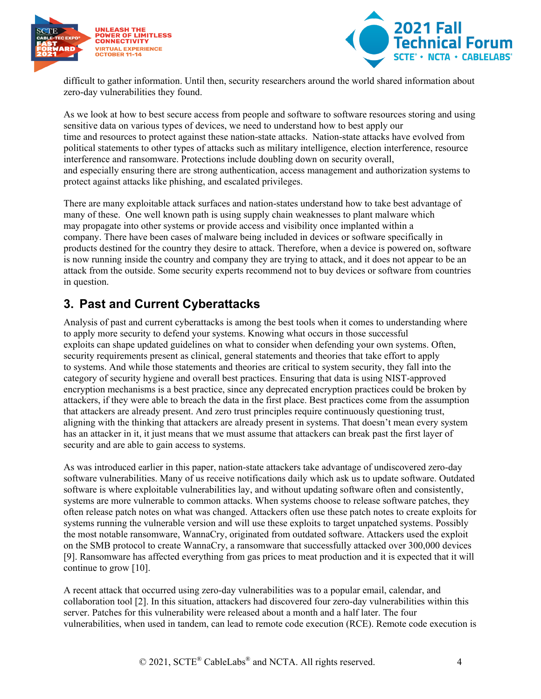



difficult to gather information. Until then, security researchers around the world shared information about zero-day vulnerabilities they found.

As we look at how to best secure access from people and software to software resources storing and using sensitive data on various types of devices, we need to understand how to best apply our time and resources to protect against these nation-state attacks. Nation-state attacks have evolved from political statements to other types of attacks such as military intelligence, election interference, resource interference and ransomware. Protections include doubling down on security overall, and especially ensuring there are strong authentication, access management and authorization systems to protect against attacks like phishing, and escalated privileges.

There are many exploitable attack surfaces and nation-states understand how to take best advantage of many of these. One well known path is using supply chain weaknesses to plant malware which may propagate into other systems or provide access and visibility once implanted within a company. There have been cases of malware being included in devices or software specifically in products destined for the country they desire to attack. Therefore, when a device is powered on, software is now running inside the country and company they are trying to attack, and it does not appear to be an attack from the outside. Some security experts recommend not to buy devices or software from countries in question.

#### <span id="page-3-0"></span>**3. Past and Current Cyberattacks**

Analysis of past and current cyberattacks is among the best tools when it comes to understanding where to apply more security to defend your systems. Knowing what occurs in those successful exploits can shape updated guidelines on what to consider when defending your own systems. Often, security requirements present as clinical, general statements and theories that take effort to apply to systems. And while those statements and theories are critical to system security, they fall into the category of security hygiene and overall best practices. Ensuring that data is using NIST-approved encryption mechanisms is a best practice, since any deprecated encryption practices could be broken by attackers, if they were able to breach the data in the first place. Best practices come from the assumption that attackers are already present. And zero trust principles require continuously questioning trust, aligning with the thinking that attackers are already present in systems. That doesn't mean every system has an attacker in it, it just means that we must assume that attackers can break past the first layer of security and are able to gain access to systems.

As was introduced earlier in this paper, nation-state attackers take advantage of undiscovered zero-day software vulnerabilities. Many of us receive notifications daily which ask us to update software. Outdated software is where exploitable vulnerabilities lay, and without updating software often and consistently, systems are more vulnerable to common attacks. When systems choose to release software patches, they often release patch notes on what was changed. Attackers often use these patch notes to create exploits for systems running the vulnerable version and will use these exploits to target unpatched systems. Possibly the most notable ransomware, WannaCry, originated from outdated software. Attackers used the exploit on the SMB protocol to create WannaCry, a ransomware that successfully attacked over 300,000 devices [9]. Ransomware has affected everything from gas prices to meat production and it is expected that it will continue to grow [10].

A recent attack that occurred using zero-day vulnerabilities was to a popular email, calendar, and collaboration tool [2]. In this situation, attackers had discovered four zero-day vulnerabilities within this server. Patches for this vulnerability were released about a month and a half later. The four vulnerabilities, when used in tandem, can lead to remote code execution (RCE). Remote code execution is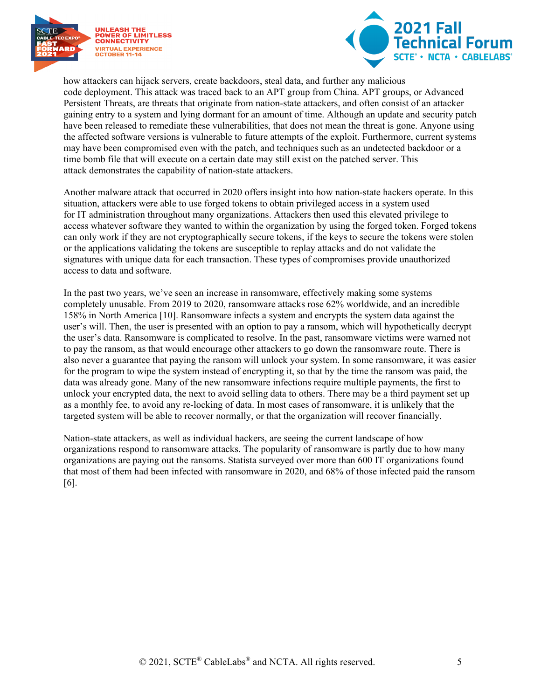



how attackers can hijack servers, create backdoors, steal data, and further any malicious code deployment. This attack was traced back to an APT group from China. APT groups, or Advanced Persistent Threats, are threats that originate from nation-state attackers, and often consist of an attacker gaining entry to a system and lying dormant for an amount of time. Although an update and security patch have been released to remediate these vulnerabilities, that does not mean the threat is gone. Anyone using the affected software versions is vulnerable to future attempts of the exploit. Furthermore, current systems may have been compromised even with the patch, and techniques such as an undetected backdoor or a time bomb file that will execute on a certain date may still exist on the patched server. This attack demonstrates the capability of nation-state attackers.

Another malware attack that occurred in 2020 offers insight into how nation-state hackers operate. In this situation, attackers were able to use forged tokens to obtain privileged access in a system used for IT administration throughout many organizations. Attackers then used this elevated privilege to access whatever software they wanted to within the organization by using the forged token. Forged tokens can only work if they are not cryptographically secure tokens, if the keys to secure the tokens were stolen or the applications validating the tokens are susceptible to replay attacks and do not validate the signatures with unique data for each transaction. These types of compromises provide unauthorized access to data and software.

In the past two years, we've seen an increase in ransomware, effectively making some systems completely unusable. From 2019 to 2020, ransomware attacks rose 62% worldwide, and an incredible 158% in North America [10]. Ransomware infects a system and encrypts the system data against the user's will. Then, the user is presented with an option to pay a ransom, which will hypothetically decrypt the user's data. Ransomware is complicated to resolve. In the past, ransomware victims were warned not to pay the ransom, as that would encourage other attackers to go down the ransomware route. There is also never a guarantee that paying the ransom will unlock your system. In some ransomware, it was easier for the program to wipe the system instead of encrypting it, so that by the time the ransom was paid, the data was already gone. Many of the new ransomware infections require multiple payments, the first to unlock your encrypted data, the next to avoid selling data to others. There may be a third payment set up as a monthly fee, to avoid any re-locking of data. In most cases of ransomware, it is unlikely that the targeted system will be able to recover normally, or that the organization will recover financially.

Nation-state attackers, as well as individual hackers, are seeing the current landscape of how organizations respond to ransomware attacks. The popularity of ransomware is partly due to how many organizations are paying out the ransoms. Statista surveyed over more than 600 IT organizations found that most of them had been infected with ransomware in 2020, and 68% of those infected paid the ransom [6].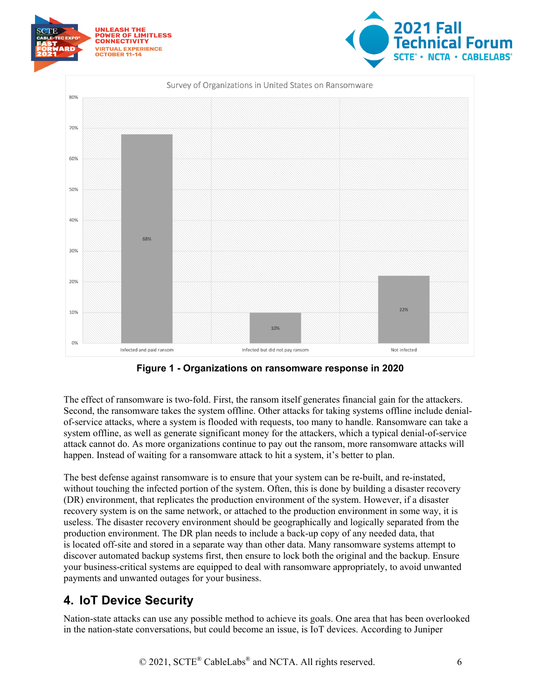

**Figure 1 - Organizations on ransomware response in 2020**

<span id="page-5-1"></span>The effect of ransomware is two-fold. First, the ransom itself generates financial gain for the attackers. Second, the ransomware takes the system offline. Other attacks for taking systems offline include denialof-service attacks, where a system is flooded with requests, too many to handle. Ransomware can take a system offline, as well as generate significant money for the attackers, which a typical denial-of-service attack cannot do. As more organizations continue to pay out the ransom, more ransomware attacks will happen. Instead of waiting for a ransomware attack to hit a system, it's better to plan.

The best defense against ransomware is to ensure that your system can be re-built, and re-instated, without touching the infected portion of the system. Often, this is done by building a disaster recovery (DR) environment, that replicates the production environment of the system. However, if a disaster recovery system is on the same network, or attached to the production environment in some way, it is useless. The disaster recovery environment should be geographically and logically separated from the production environment. The DR plan needs to include a back-up copy of any needed data, that is located off-site and stored in a separate way than other data. Many ransomware systems attempt to discover automated backup systems first, then ensure to lock both the original and the backup. Ensure your business-critical systems are equipped to deal with ransomware appropriately, to avoid unwanted payments and unwanted outages for your business.

#### <span id="page-5-0"></span>**4. IoT Device Security**

Nation-state attacks can use any possible method to achieve its goals. One area that has been overlooked in the nation-state conversations, but could become an issue, is IoT devices. According to Juniper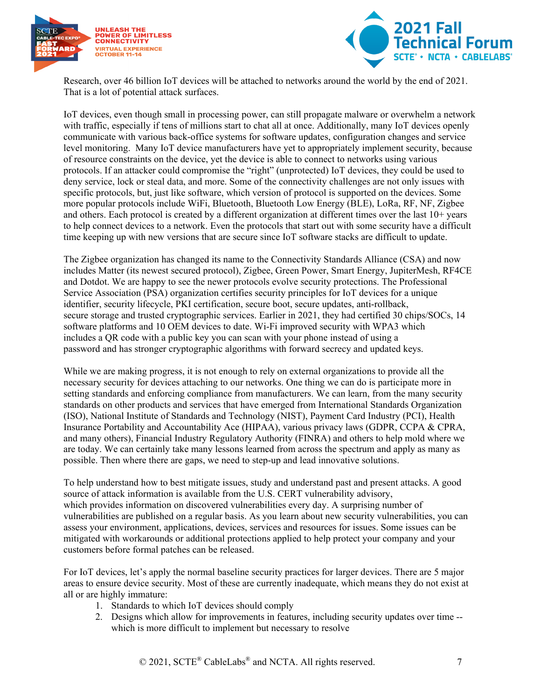



Research, over 46 billion IoT devices will be attached to networks around the world by the end of 2021. That is a lot of potential attack surfaces.

IoT devices, even though small in processing power, can still propagate malware or overwhelm a network with traffic, especially if tens of millions start to chat all at once. Additionally, many IoT devices openly communicate with various back-office systems for software updates, configuration changes and service level monitoring. Many IoT device manufacturers have yet to appropriately implement security, because of resource constraints on the device, yet the device is able to connect to networks using various protocols. If an attacker could compromise the "right" (unprotected) IoT devices, they could be used to deny service, lock or steal data, and more. Some of the connectivity challenges are not only issues with specific protocols, but, just like software, which version of protocol is supported on the devices. Some more popular protocols include WiFi, Bluetooth, Bluetooth Low Energy (BLE), LoRa, RF, NF, Zigbee and others. Each protocol is created by a different organization at different times over the last 10+ years to help connect devices to a network. Even the protocols that start out with some security have a difficult time keeping up with new versions that are secure since IoT software stacks are difficult to update.

The Zigbee organization has changed its name to the Connectivity Standards Alliance (CSA) and now includes Matter (its newest secured protocol), Zigbee, Green Power, Smart Energy, JupiterMesh, RF4CE and Dotdot. We are happy to see the newer protocols evolve security protections. The Professional Service Association (PSA) organization certifies security principles for IoT devices for a unique identifier, security lifecycle, PKI certification, secure boot, secure updates, anti-rollback, secure storage and trusted cryptographic services. Earlier in 2021, they had certified 30 chips/SOCs, 14 software platforms and 10 OEM devices to date. Wi-Fi improved security with WPA3 which includes a QR code with a public key you can scan with your phone instead of using a password and has stronger cryptographic algorithms with forward secrecy and updated keys.

While we are making progress, it is not enough to rely on external organizations to provide all the necessary security for devices attaching to our networks. One thing we can do is participate more in setting standards and enforcing compliance from manufacturers. We can learn, from the many security standards on other products and services that have emerged from International Standards Organization (ISO), National Institute of Standards and Technology (NIST), Payment Card Industry (PCI), Health Insurance Portability and Accountability Ace (HIPAA), various privacy laws (GDPR, CCPA & CPRA, and many others), Financial Industry Regulatory Authority (FINRA) and others to help mold where we are today. We can certainly take many lessons learned from across the spectrum and apply as many as possible. Then where there are gaps, we need to step-up and lead innovative solutions.

To help understand how to best mitigate issues, study and understand past and present attacks. A good source of attack information is available from the U.S. CERT vulnerability advisory, which provides information on discovered vulnerabilities every day. A surprising number of vulnerabilities are published on a regular basis. As you learn about new security vulnerabilities, you can assess your environment, applications, devices, services and resources for issues. Some issues can be mitigated with workarounds or additional protections applied to help protect your company and your customers before formal patches can be released.

For IoT devices, let's apply the normal baseline security practices for larger devices. There are 5 major areas to ensure device security. Most of these are currently inadequate, which means they do not exist at all or are highly immature:

- 1. Standards to which IoT devices should comply
- 2. Designs which allow for improvements in features, including security updates over time which is more difficult to implement but necessary to resolve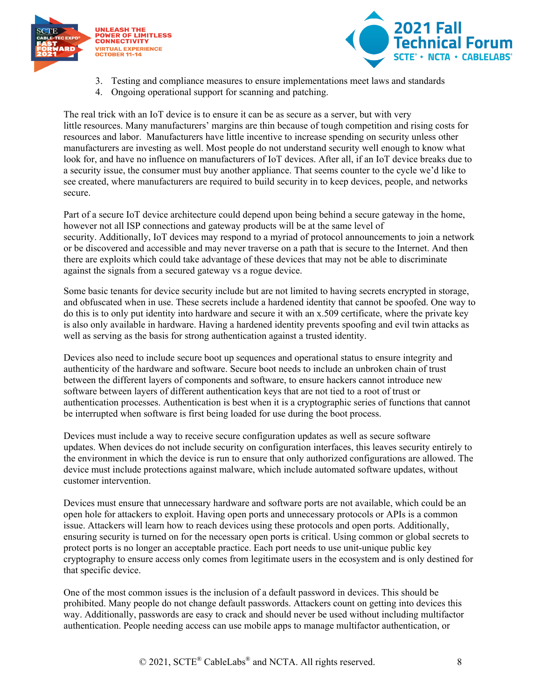



- 3. Testing and compliance measures to ensure implementations meet laws and standards
- 4. Ongoing operational support for scanning and patching.

The real trick with an IoT device is to ensure it can be as secure as a server, but with very little resources. Many manufacturers' margins are thin because of tough competition and rising costs for resources and labor. Manufacturers have little incentive to increase spending on security unless other manufacturers are investing as well. Most people do not understand security well enough to know what look for, and have no influence on manufacturers of IoT devices. After all, if an IoT device breaks due to a security issue, the consumer must buy another appliance. That seems counter to the cycle we'd like to see created, where manufacturers are required to build security in to keep devices, people, and networks secure.

Part of a secure IoT device architecture could depend upon being behind a secure gateway in the home, however not all ISP connections and gateway products will be at the same level of security. Additionally, IoT devices may respond to a myriad of protocol announcements to join a network or be discovered and accessible and may never traverse on a path that is secure to the Internet. And then there are exploits which could take advantage of these devices that may not be able to discriminate against the signals from a secured gateway vs a rogue device.

Some basic tenants for device security include but are not limited to having secrets encrypted in storage, and obfuscated when in use. These secrets include a hardened identity that cannot be spoofed. One way to do this is to only put identity into hardware and secure it with an x.509 certificate, where the private key is also only available in hardware. Having a hardened identity prevents spoofing and evil twin attacks as well as serving as the basis for strong authentication against a trusted identity.

Devices also need to include secure boot up sequences and operational status to ensure integrity and authenticity of the hardware and software. Secure boot needs to include an unbroken chain of trust between the different layers of components and software, to ensure hackers cannot introduce new software between layers of different authentication keys that are not tied to a root of trust or authentication processes. Authentication is best when it is a cryptographic series of functions that cannot be interrupted when software is first being loaded for use during the boot process.

Devices must include a way to receive secure configuration updates as well as secure software updates. When devices do not include security on configuration interfaces, this leaves security entirely to the environment in which the device is run to ensure that only authorized configurations are allowed. The device must include protections against malware, which include automated software updates, without customer intervention.

Devices must ensure that unnecessary hardware and software ports are not available, which could be an open hole for attackers to exploit. Having open ports and unnecessary protocols or APIs is a common issue. Attackers will learn how to reach devices using these protocols and open ports. Additionally, ensuring security is turned on for the necessary open ports is critical. Using common or global secrets to protect ports is no longer an acceptable practice. Each port needs to use unit-unique public key cryptography to ensure access only comes from legitimate users in the ecosystem and is only destined for that specific device.

One of the most common issues is the inclusion of a default password in devices. This should be prohibited. Many people do not change default passwords. Attackers count on getting into devices this way. Additionally, passwords are easy to crack and should never be used without including multifactor authentication. People needing access can use mobile apps to manage multifactor authentication, or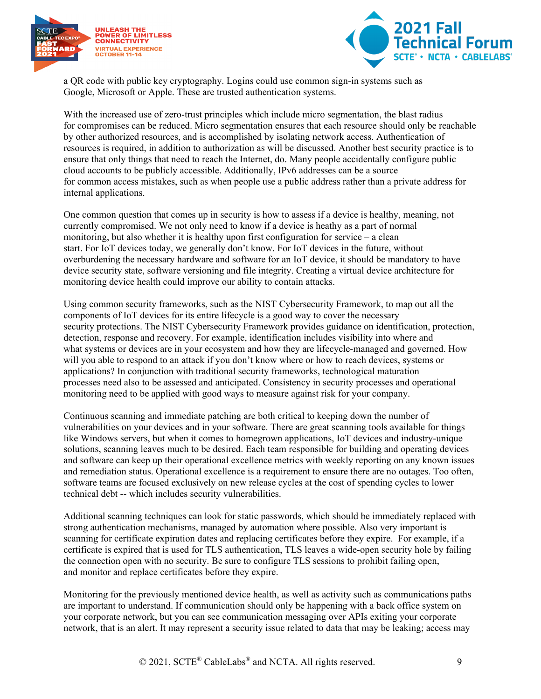



a QR code with public key cryptography. Logins could use common sign-in systems such as Google, Microsoft or Apple. These are trusted authentication systems.

With the increased use of zero-trust principles which include micro segmentation, the blast radius for compromises can be reduced. Micro segmentation ensures that each resource should only be reachable by other authorized resources, and is accomplished by isolating network access. Authentication of resources is required, in addition to authorization as will be discussed. Another best security practice is to ensure that only things that need to reach the Internet, do. Many people accidentally configure public cloud accounts to be publicly accessible. Additionally, IPv6 addresses can be a source for common access mistakes, such as when people use a public address rather than a private address for internal applications.

One common question that comes up in security is how to assess if a device is healthy, meaning, not currently compromised. We not only need to know if a device is heathy as a part of normal monitoring, but also whether it is healthy upon first configuration for service – a clean start. For IoT devices today, we generally don't know. For IoT devices in the future, without overburdening the necessary hardware and software for an IoT device, it should be mandatory to have device security state, software versioning and file integrity. Creating a virtual device architecture for monitoring device health could improve our ability to contain attacks.

Using common security frameworks, such as the NIST Cybersecurity Framework, to map out all the components of IoT devices for its entire lifecycle is a good way to cover the necessary security protections. The NIST Cybersecurity Framework provides guidance on identification, protection, detection, response and recovery. For example, identification includes visibility into where and what systems or devices are in your ecosystem and how they are lifecycle-managed and governed. How will you able to respond to an attack if you don't know where or how to reach devices, systems or applications? In conjunction with traditional security frameworks, technological maturation processes need also to be assessed and anticipated. Consistency in security processes and operational monitoring need to be applied with good ways to measure against risk for your company.

Continuous scanning and immediate patching are both critical to keeping down the number of vulnerabilities on your devices and in your software. There are great scanning tools available for things like Windows servers, but when it comes to homegrown applications, IoT devices and industry-unique solutions, scanning leaves much to be desired. Each team responsible for building and operating devices and software can keep up their operational excellence metrics with weekly reporting on any known issues and remediation status. Operational excellence is a requirement to ensure there are no outages. Too often, software teams are focused exclusively on new release cycles at the cost of spending cycles to lower technical debt -- which includes security vulnerabilities.

Additional scanning techniques can look for static passwords, which should be immediately replaced with strong authentication mechanisms, managed by automation where possible. Also very important is scanning for certificate expiration dates and replacing certificates before they expire. For example, if a certificate is expired that is used for TLS authentication, TLS leaves a wide-open security hole by failing the connection open with no security. Be sure to configure TLS sessions to prohibit failing open, and monitor and replace certificates before they expire.

Monitoring for the previously mentioned device health, as well as activity such as communications paths are important to understand. If communication should only be happening with a back office system on your corporate network, but you can see communication messaging over APIs exiting your corporate network, that is an alert. It may represent a security issue related to data that may be leaking; access may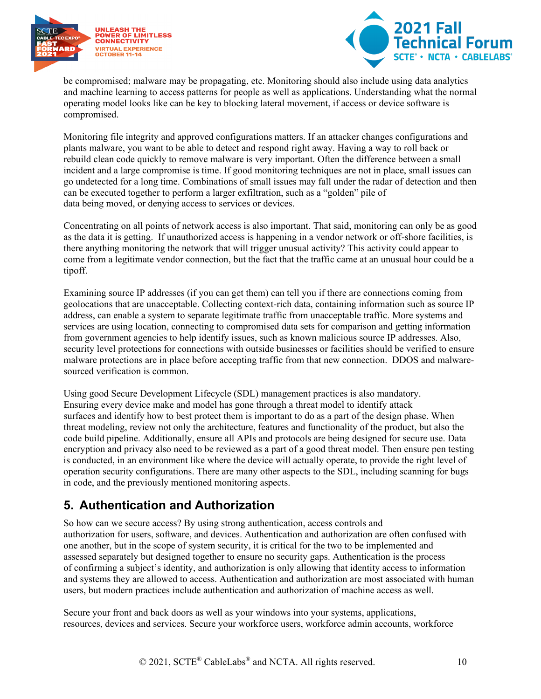



be compromised; malware may be propagating, etc. Monitoring should also include using data analytics and machine learning to access patterns for people as well as applications. Understanding what the normal operating model looks like can be key to blocking lateral movement, if access or device software is compromised.

Monitoring file integrity and approved configurations matters. If an attacker changes configurations and plants malware, you want to be able to detect and respond right away. Having a way to roll back or rebuild clean code quickly to remove malware is very important. Often the difference between a small incident and a large compromise is time. If good monitoring techniques are not in place, small issues can go undetected for a long time. Combinations of small issues may fall under the radar of detection and then can be executed together to perform a larger exfiltration, such as a "golden" pile of data being moved, or denying access to services or devices.

Concentrating on all points of network access is also important. That said, monitoring can only be as good as the data it is getting. If unauthorized access is happening in a vendor network or off-shore facilities, is there anything monitoring the network that will trigger unusual activity? This activity could appear to come from a legitimate vendor connection, but the fact that the traffic came at an unusual hour could be a tipoff.

Examining source IP addresses (if you can get them) can tell you if there are connections coming from geolocations that are unacceptable. Collecting context-rich data, containing information such as source IP address, can enable a system to separate legitimate traffic from unacceptable traffic. More systems and services are using location, connecting to compromised data sets for comparison and getting information from government agencies to help identify issues, such as known malicious source IP addresses. Also, security level protections for connections with outside businesses or facilities should be verified to ensure malware protections are in place before accepting traffic from that new connection. DDOS and malwaresourced verification is common.

Using good Secure Development Lifecycle (SDL) management practices is also mandatory. Ensuring every device make and model has gone through a threat model to identify attack surfaces and identify how to best protect them is important to do as a part of the design phase. When threat modeling, review not only the architecture, features and functionality of the product, but also the code build pipeline. Additionally, ensure all APIs and protocols are being designed for secure use. Data encryption and privacy also need to be reviewed as a part of a good threat model. Then ensure pen testing is conducted, in an environment like where the device will actually operate, to provide the right level of operation security configurations. There are many other aspects to the SDL, including scanning for bugs in code, and the previously mentioned monitoring aspects.

#### <span id="page-9-0"></span>**5. Authentication and Authorization**

So how can we secure access? By using strong authentication, access controls and authorization for users, software, and devices. Authentication and authorization are often confused with one another, but in the scope of system security, it is critical for the two to be implemented and assessed separately but designed together to ensure no security gaps. Authentication is the process of confirming a subject's identity, and authorization is only allowing that identity access to information and systems they are allowed to access. Authentication and authorization are most associated with human users, but modern practices include authentication and authorization of machine access as well.

Secure your front and back doors as well as your windows into your systems, applications, resources, devices and services. Secure your workforce users, workforce admin accounts, workforce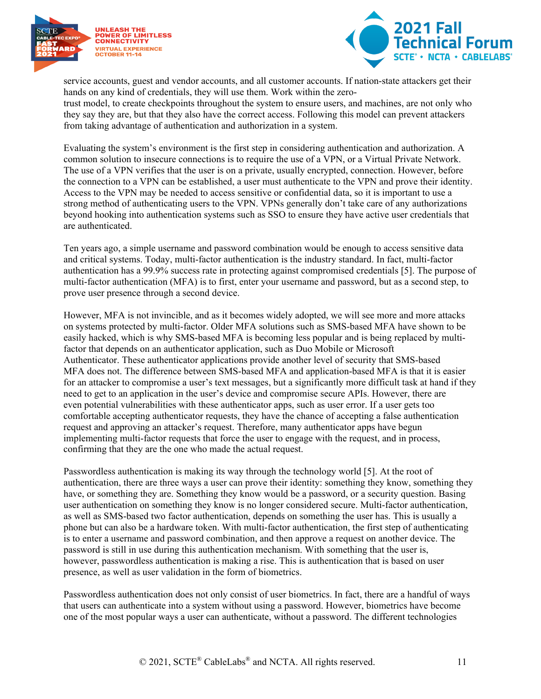



service accounts, guest and vendor accounts, and all customer accounts. If nation-state attackers get their hands on any kind of credentials, they will use them. Work within the zerotrust model, to create checkpoints throughout the system to ensure users, and machines, are not only who

they say they are, but that they also have the correct access. Following this model can prevent attackers from taking advantage of authentication and authorization in a system.

Evaluating the system's environment is the first step in considering authentication and authorization. A common solution to insecure connections is to require the use of a VPN, or a Virtual Private Network. The use of a VPN verifies that the user is on a private, usually encrypted, connection. However, before the connection to a VPN can be established, a user must authenticate to the VPN and prove their identity. Access to the VPN may be needed to access sensitive or confidential data, so it is important to use a strong method of authenticating users to the VPN. VPNs generally don't take care of any authorizations beyond hooking into authentication systems such as SSO to ensure they have active user credentials that are authenticated.

Ten years ago, a simple username and password combination would be enough to access sensitive data and critical systems. Today, multi-factor authentication is the industry standard. In fact, multi-factor authentication has a 99.9% success rate in protecting against compromised credentials [5]. The purpose of multi-factor authentication (MFA) is to first, enter your username and password, but as a second step, to prove user presence through a second device.

However, MFA is not invincible, and as it becomes widely adopted, we will see more and more attacks on systems protected by multi-factor. Older MFA solutions such as SMS-based MFA have shown to be easily hacked, which is why SMS-based MFA is becoming less popular and is being replaced by multifactor that depends on an authenticator application, such as Duo Mobile or Microsoft Authenticator. These authenticator applications provide another level of security that SMS-based MFA does not. The difference between SMS-based MFA and application-based MFA is that it is easier for an attacker to compromise a user's text messages, but a significantly more difficult task at hand if they need to get to an application in the user's device and compromise secure APIs. However, there are even potential vulnerabilities with these authenticator apps, such as user error. If a user gets too comfortable accepting authenticator requests, they have the chance of accepting a false authentication request and approving an attacker's request. Therefore, many authenticator apps have begun implementing multi-factor requests that force the user to engage with the request, and in process, confirming that they are the one who made the actual request.

Passwordless authentication is making its way through the technology world [5]. At the root of authentication, there are three ways a user can prove their identity: something they know, something they have, or something they are. Something they know would be a password, or a security question. Basing user authentication on something they know is no longer considered secure. Multi-factor authentication, as well as SMS-based two factor authentication, depends on something the user has. This is usually a phone but can also be a hardware token. With multi-factor authentication, the first step of authenticating is to enter a username and password combination, and then approve a request on another device. The password is still in use during this authentication mechanism. With something that the user is, however, passwordless authentication is making a rise. This is authentication that is based on user presence, as well as user validation in the form of biometrics.

Passwordless authentication does not only consist of user biometrics. In fact, there are a handful of ways that users can authenticate into a system without using a password. However, biometrics have become one of the most popular ways a user can authenticate, without a password. The different technologies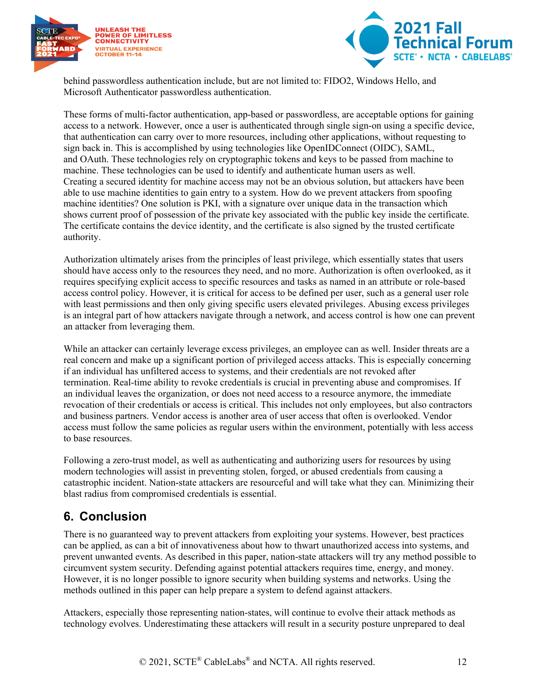



behind passwordless authentication include, but are not limited to: FIDO2, Windows Hello, and Microsoft Authenticator passwordless authentication.

These forms of multi-factor authentication, app-based or passwordless, are acceptable options for gaining access to a network. However, once a user is authenticated through single sign-on using a specific device, that authentication can carry over to more resources, including other applications, without requesting to sign back in. This is accomplished by using technologies like OpenIDConnect (OIDC), SAML, and OAuth. These technologies rely on cryptographic tokens and keys to be passed from machine to machine. These technologies can be used to identify and authenticate human users as well. Creating a secured identity for machine access may not be an obvious solution, but attackers have been able to use machine identities to gain entry to a system. How do we prevent attackers from spoofing machine identities? One solution is PKI, with a signature over unique data in the transaction which shows current proof of possession of the private key associated with the public key inside the certificate. The certificate contains the device identity, and the certificate is also signed by the trusted certificate authority.

Authorization ultimately arises from the principles of least privilege, which essentially states that users should have access only to the resources they need, and no more. Authorization is often overlooked, as it requires specifying explicit access to specific resources and tasks as named in an attribute or role-based access control policy. However, it is critical for access to be defined per user, such as a general user role with least permissions and then only giving specific users elevated privileges. Abusing excess privileges is an integral part of how attackers navigate through a network, and access control is how one can prevent an attacker from leveraging them.

While an attacker can certainly leverage excess privileges, an employee can as well. Insider threats are a real concern and make up a significant portion of privileged access attacks. This is especially concerning if an individual has unfiltered access to systems, and their credentials are not revoked after termination. Real-time ability to revoke credentials is crucial in preventing abuse and compromises. If an individual leaves the organization, or does not need access to a resource anymore, the immediate revocation of their credentials or access is critical. This includes not only employees, but also contractors and business partners. Vendor access is another area of user access that often is overlooked. Vendor access must follow the same policies as regular users within the environment, potentially with less access to base resources.

Following a zero-trust model, as well as authenticating and authorizing users for resources by using modern technologies will assist in preventing stolen, forged, or abused credentials from causing a catastrophic incident. Nation-state attackers are resourceful and will take what they can. Minimizing their blast radius from compromised credentials is essential.

#### <span id="page-11-0"></span>**6. Conclusion**

There is no guaranteed way to prevent attackers from exploiting your systems. However, best practices can be applied, as can a bit of innovativeness about how to thwart unauthorized access into systems, and prevent unwanted events. As described in this paper, nation-state attackers will try any method possible to circumvent system security. Defending against potential attackers requires time, energy, and money. However, it is no longer possible to ignore security when building systems and networks. Using the methods outlined in this paper can help prepare a system to defend against attackers.

Attackers, especially those representing nation-states, will continue to evolve their attack methods as technology evolves. Underestimating these attackers will result in a security posture unprepared to deal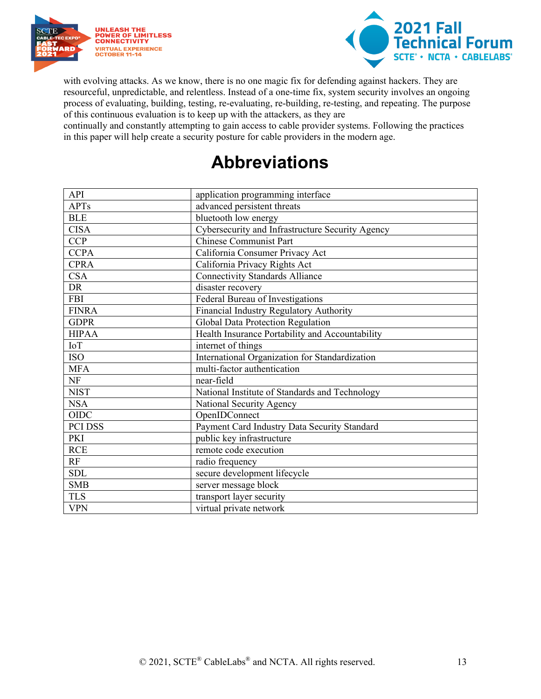



with evolving attacks. As we know, there is no one magic fix for defending against hackers. They are resourceful, unpredictable, and relentless. Instead of a one-time fix, system security involves an ongoing process of evaluating, building, testing, re-evaluating, re-building, re-testing, and repeating. The purpose of this continuous evaluation is to keep up with the attackers, as they are

<span id="page-12-0"></span>continually and constantly attempting to gain access to cable provider systems. Following the practices in this paper will help create a security posture for cable providers in the modern age.

### **Abbreviations**

| API          | application programming interface                |
|--------------|--------------------------------------------------|
| <b>APTs</b>  | advanced persistent threats                      |
| <b>BLE</b>   | bluetooth low energy                             |
| <b>CISA</b>  | Cybersecurity and Infrastructure Security Agency |
| <b>CCP</b>   | <b>Chinese Communist Part</b>                    |
| <b>CCPA</b>  | California Consumer Privacy Act                  |
| <b>CPRA</b>  | California Privacy Rights Act                    |
| <b>CSA</b>   | <b>Connectivity Standards Alliance</b>           |
| DR           | disaster recovery                                |
| <b>FBI</b>   | Federal Bureau of Investigations                 |
| <b>FINRA</b> | Financial Industry Regulatory Authority          |
| <b>GDPR</b>  | Global Data Protection Regulation                |
| <b>HIPAA</b> | Health Insurance Portability and Accountability  |
| IoT          | internet of things                               |
| ISO          | International Organization for Standardization   |
| <b>MFA</b>   | multi-factor authentication                      |
| <b>NF</b>    | near-field                                       |
| <b>NIST</b>  | National Institute of Standards and Technology   |
| <b>NSA</b>   | National Security Agency                         |
| <b>OIDC</b>  | OpenIDConnect                                    |
| PCI DSS      | Payment Card Industry Data Security Standard     |
| PKI          | public key infrastructure                        |
| <b>RCE</b>   | remote code execution                            |
| RF           | radio frequency                                  |
| <b>SDL</b>   | secure development lifecycle                     |
| <b>SMB</b>   | server message block                             |
| <b>TLS</b>   | transport layer security                         |
| <b>VPN</b>   | virtual private network                          |